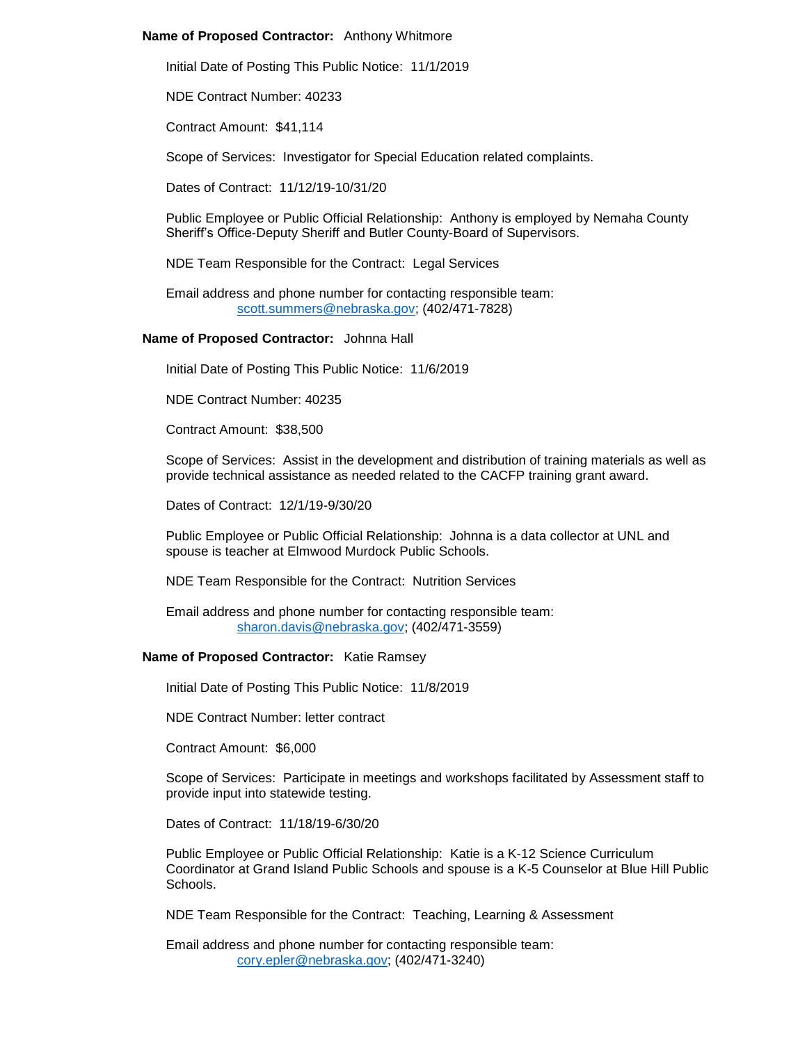# **Name of Proposed Contractor:** Anthony Whitmore

Initial Date of Posting This Public Notice: 11/1/2019

NDE Contract Number: 40233

Contract Amount: \$41,114

Scope of Services: Investigator for Special Education related complaints.

Dates of Contract: 11/12/19-10/31/20

Public Employee or Public Official Relationship: Anthony is employed by Nemaha County Sheriff's Office-Deputy Sheriff and Butler County-Board of Supervisors.

NDE Team Responsible for the Contract: Legal Services

Email address and phone number for contacting responsible team: [scott.summers@nebraska.gov;](mailto:scott.summers@nebraska.gov) (402/471-7828)

#### **Name of Proposed Contractor:** Johnna Hall

Initial Date of Posting This Public Notice: 11/6/2019

NDE Contract Number: 40235

Contract Amount: \$38,500

Scope of Services: Assist in the development and distribution of training materials as well as provide technical assistance as needed related to the CACFP training grant award.

Dates of Contract: 12/1/19-9/30/20

Public Employee or Public Official Relationship: Johnna is a data collector at UNL and spouse is teacher at Elmwood Murdock Public Schools.

NDE Team Responsible for the Contract: Nutrition Services

Email address and phone number for contacting responsible team: [sharon.davis@nebraska.gov;](mailto:sharon.davis@nebraska.gov) (402/471-3559)

#### **Name of Proposed Contractor:** Katie Ramsey

Initial Date of Posting This Public Notice: 11/8/2019

NDE Contract Number: letter contract

Contract Amount: \$6,000

Scope of Services: Participate in meetings and workshops facilitated by Assessment staff to provide input into statewide testing.

Dates of Contract: 11/18/19-6/30/20

Public Employee or Public Official Relationship: Katie is a K-12 Science Curriculum Coordinator at Grand Island Public Schools and spouse is a K-5 Counselor at Blue Hill Public Schools.

NDE Team Responsible for the Contract: Teaching, Learning & Assessment

Email address and phone number for contacting responsible team: [cory.epler@nebraska.gov;](mailto:cory.epler@nebraska.gov) (402/471-3240)